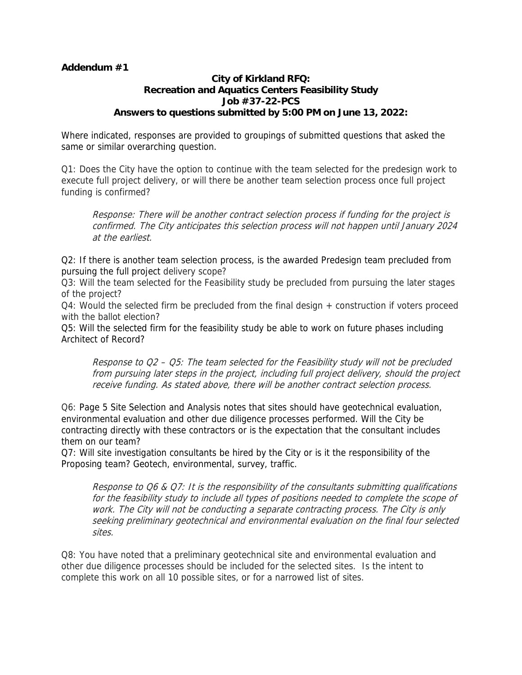## **Addendum #1**

## **City of Kirkland RFQ: Recreation and Aquatics Centers Feasibility Study Job #37-22-PCS Answers to questions submitted by 5:00 PM on June 13, 2022:**

Where indicated, responses are provided to groupings of submitted questions that asked the same or similar overarching question.

Q1: Does the City have the option to continue with the team selected for the predesign work to execute full project delivery, or will there be another team selection process once full project funding is confirmed?

Response: There will be another contract selection process if funding for the project is confirmed. The City anticipates this selection process will not happen until January 2024 at the earliest.

Q2: If there is another team selection process, is the awarded Predesign team precluded from pursuing the full project delivery scope?

Q3: Will the team selected for the Feasibility study be precluded from pursuing the later stages of the project?

Q4: Would the selected firm be precluded from the final design + construction if voters proceed with the ballot election?

Q5: Will the selected firm for the feasibility study be able to work on future phases including Architect of Record?

Response to Q2 – Q5: The team selected for the Feasibility study will not be precluded from pursuing later steps in the project, including full project delivery, should the project receive funding. As stated above, there will be another contract selection process.

Q6: Page 5 Site Selection and Analysis notes that sites should have geotechnical evaluation, environmental evaluation and other due diligence processes performed. Will the City be contracting directly with these contractors or is the expectation that the consultant includes them on our team?

Q7: Will site investigation consultants be hired by the City or is it the responsibility of the Proposing team? Geotech, environmental, survey, traffic.

Response to Q6 & Q7: It is the responsibility of the consultants submitting qualifications for the feasibility study to include all types of positions needed to complete the scope of work. The City will not be conducting a separate contracting process. The City is only seeking preliminary geotechnical and environmental evaluation on the final four selected sites.

Q8: You have noted that a preliminary geotechnical site and environmental evaluation and other due diligence processes should be included for the selected sites. Is the intent to complete this work on all 10 possible sites, or for a narrowed list of sites.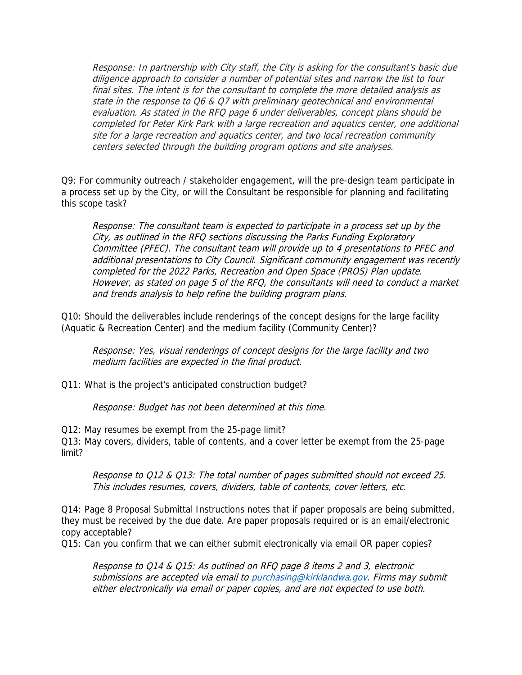Response: In partnership with City staff, the City is asking for the consultant's basic due diligence approach to consider a number of potential sites and narrow the list to four final sites. The intent is for the consultant to complete the more detailed analysis as state in the response to Q6 & Q7 with preliminary geotechnical and environmental evaluation. As stated in the RFQ page 6 under deliverables, concept plans should be completed for Peter Kirk Park with a large recreation and aquatics center, one additional site for a large recreation and aquatics center, and two local recreation community centers selected through the building program options and site analyses.

Q9: For community outreach / stakeholder engagement, will the pre-design team participate in a process set up by the City, or will the Consultant be responsible for planning and facilitating this scope task?

Response: The consultant team is expected to participate in a process set up by the City, as outlined in the RFQ sections discussing the Parks Funding Exploratory Committee (PFEC). The consultant team will provide up to 4 presentations to PFEC and additional presentations to City Council. Significant community engagement was recently completed for the 2022 Parks, Recreation and Open Space (PROS) Plan update. However, as stated on page 5 of the RFQ, the consultants will need to conduct a market and trends analysis to help refine the building program plans.

Q10: Should the deliverables include renderings of the concept designs for the large facility (Aquatic & Recreation Center) and the medium facility (Community Center)?

Response: Yes, visual renderings of concept designs for the large facility and two medium facilities are expected in the final product.

Q11: What is the project's anticipated construction budget?

Response: Budget has not been determined at this time.

Q12: May resumes be exempt from the 25-page limit?

Q13: May covers, dividers, table of contents, and a cover letter be exempt from the 25-page limit?

Response to Q12 & Q13: The total number of pages submitted should not exceed 25. This includes resumes, covers, dividers, table of contents, cover letters, etc.

Q14: Page 8 Proposal Submittal Instructions notes that if paper proposals are being submitted, they must be received by the due date. Are paper proposals required or is an email/electronic copy acceptable?

Q15: Can you confirm that we can either submit electronically via email OR paper copies?

Response to Q14 & Q15: As outlined on RFQ page 8 items 2 and 3, electronic submissions are accepted via email t[o purchasing@kirklandwa.gov.](mailto:purchasing@kirklandwa.gov) Firms may submit either electronically via email or paper copies, and are not expected to use both.